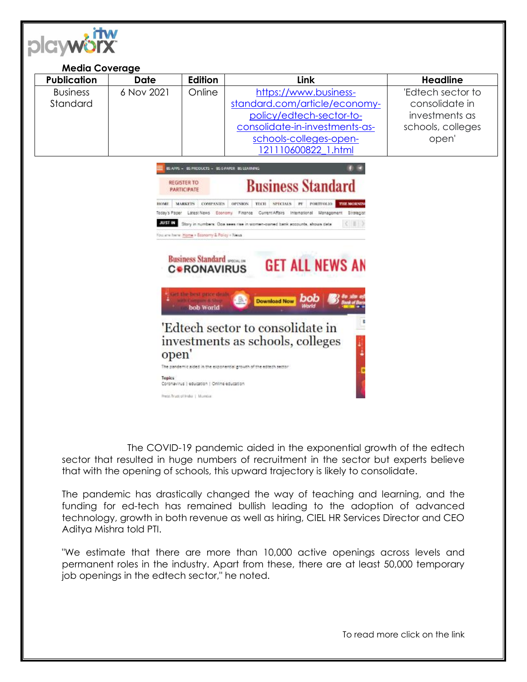

|                                                                                                                                                                                                                                                                                                                                                                                                                                                                                                                                                                                                                                                                                                                                                                                                                                                                                                              | <b>Media Coverage</b> |         |                                                                                                                                                                       |                                                                                     |  |
|--------------------------------------------------------------------------------------------------------------------------------------------------------------------------------------------------------------------------------------------------------------------------------------------------------------------------------------------------------------------------------------------------------------------------------------------------------------------------------------------------------------------------------------------------------------------------------------------------------------------------------------------------------------------------------------------------------------------------------------------------------------------------------------------------------------------------------------------------------------------------------------------------------------|-----------------------|---------|-----------------------------------------------------------------------------------------------------------------------------------------------------------------------|-------------------------------------------------------------------------------------|--|
| <b>Publication</b>                                                                                                                                                                                                                                                                                                                                                                                                                                                                                                                                                                                                                                                                                                                                                                                                                                                                                           | <b>Date</b>           | Edition | Link                                                                                                                                                                  | <b>Headline</b>                                                                     |  |
| <b>Business</b><br>Standard                                                                                                                                                                                                                                                                                                                                                                                                                                                                                                                                                                                                                                                                                                                                                                                                                                                                                  | 6 Nov 2021            | Online  | https://www.business-<br>standard.com/article/economy-<br>policy/edtech-sector-to-<br>consolidate-in-investments-as-<br>schools-colleges-open-<br>121110600822 1.html | 'Edtech sector to<br>consolidate in<br>investments as<br>schools, colleges<br>open' |  |
| IS APPS - BS PRODUCTS - IBS E-PAPER INS LOARNING<br><b>Business Standard</b><br><b>REGISTER TO</b><br><b>PARTICIPATE</b><br>MARKETS COMPANIES<br>TECH SPECIALS<br><b>THE MORNIN</b><br>OPINION<br>$r_{V}$<br>PORTFOLIO<br>HOME.<br>Today's Paper Latest News Economy Finance Current Affairs International Management Strategist<br><b>JUST IN</b><br>Story in numbers: Goa sees rise in women-owned bank accounts, shows data<br>$\sim$ 100 $\pm$<br>You are here. Home + Economy & Policy + News<br><b>Business Standard</b> PECINETR<br><b>GET ALL NEWS AN</b><br><b>CORONAVIRUS</b><br>et the best price deals<br>bob<br><b>Download Now</b><br>bob World<br>'Edtech sector to consolidate in<br>investments as schools, colleges<br>open'<br>The pandemic aided in the exponential growth of the edtech sector<br>Topics<br>Coronavirus   education   Online education<br>Press Trust of India   Mumbar |                       |         |                                                                                                                                                                       |                                                                                     |  |

The COVID-19 pandemic aided in the exponential growth of the edtech sector that resulted in huge numbers of recruitment in the sector but experts believe that with the opening of schools, this upward trajectory is likely to consolidate.

The pandemic has drastically changed the way of teaching and learning, and the funding for ed-tech has remained bullish leading to the adoption of advanced technology, growth in both revenue as well as hiring, CIEL HR Services Director and CEO Aditya Mishra told PTI.

"We estimate that there are more than 10,000 active openings across levels and permanent roles in the industry. Apart from these, there are at least 50,000 temporary job openings in the edtech sector," he noted.

To read more click on the link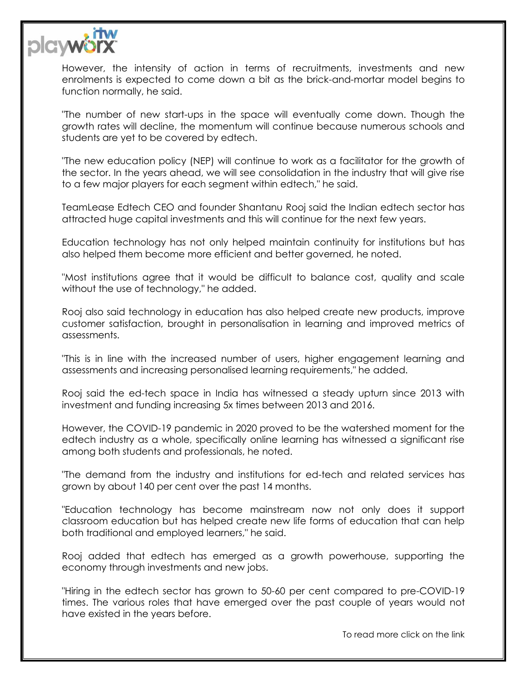

However, the intensity of action in terms of recruitments, investments and new enrolments is expected to come down a bit as the brick-and-mortar model begins to function normally, he said.

"The number of new start-ups in the space will eventually come down. Though the growth rates will decline, the momentum will continue because numerous schools and students are yet to be covered by edtech.

"The new education policy (NEP) will continue to work as a facilitator for the growth of the sector. In the years ahead, we will see consolidation in the industry that will give rise to a few major players for each segment within edtech," he said.

TeamLease Edtech CEO and founder Shantanu Rooj said the Indian edtech sector has attracted huge capital investments and this will continue for the next few years.

Education technology has not only helped maintain continuity for institutions but has also helped them become more efficient and better governed, he noted.

"Most institutions agree that it would be difficult to balance cost, quality and scale without the use of technology," he added.

Rooj also said technology in education has also helped create new products, improve customer satisfaction, brought in personalisation in learning and improved metrics of assessments.

"This is in line with the increased number of users, higher engagement learning and assessments and increasing personalised learning requirements," he added.

Rooj said the ed-tech space in India has witnessed a steady upturn since 2013 with investment and funding increasing 5x times between 2013 and 2016.

However, the COVID-19 pandemic in 2020 proved to be the watershed moment for the edtech industry as a whole, specifically online learning has witnessed a significant rise among both students and professionals, he noted.

"The demand from the industry and institutions for ed-tech and related services has grown by about 140 per cent over the past 14 months.

"Education technology has become mainstream now not only does it support classroom education but has helped create new life forms of education that can help both traditional and employed learners," he said.

Rooj added that edtech has emerged as a growth powerhouse, supporting the economy through investments and new jobs.

"Hiring in the edtech sector has grown to 50-60 per cent compared to pre-COVID-19 times. The various roles that have emerged over the past couple of years would not have existed in the years before.

To read more click on the link